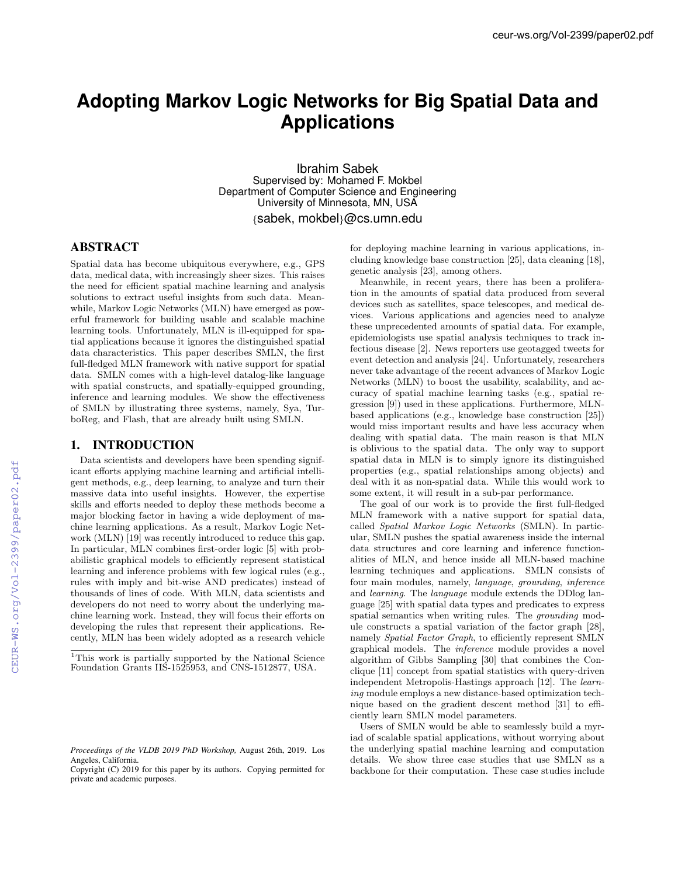# **Adopting Markov Logic Networks for Big Spatial Data and Applications**

Ibrahim Sabek Supervised by: Mohamed F. Mokbel Department of Computer Science and Engineering University of Minnesota, MN, USA

*{*sabek, mokbel*}*@cs.umn.edu

## ABSTRACT

Spatial data has become ubiquitous everywhere, e.g., GPS data, medical data, with increasingly sheer sizes. This raises the need for efficient spatial machine learning and analysis solutions to extract useful insights from such data. Meanwhile, Markov Logic Networks (MLN) have emerged as powerful framework for building usable and scalable machine learning tools. Unfortunately, MLN is ill-equipped for spatial applications because it ignores the distinguished spatial data characteristics. This paper describes SMLN, the first full-fledged MLN framework with native support for spatial data. SMLN comes with a high-level datalog-like language with spatial constructs, and spatially-equipped grounding, inference and learning modules. We show the effectiveness of SMLN by illustrating three systems, namely, Sya, TurboReg, and Flash, that are already built using SMLN.

#### 1. INTRODUCTION

Data scientists and developers have been spending significant efforts applying machine learning and artificial intelligent methods, e.g., deep learning, to analyze and turn their massive data into useful insights. However, the expertise skills and efforts needed to deploy these methods become a major blocking factor in having a wide deployment of machine learning applications. As a result, Markov Logic Network (MLN) [19] was recently introduced to reduce this gap. In particular, MLN combines first-order logic [5] with probabilistic graphical models to efficiently represent statistical learning and inference problems with few logical rules (e.g., rules with imply and bit-wise AND predicates) instead of thousands of lines of code. With MLN, data scientists and developers do not need to worry about the underlying machine learning work. Instead, they will focus their efforts on developing the rules that represent their applications. Recently, MLN has been widely adopted as a research vehicle for deploying machine learning in various applications, including knowledge base construction [25], data cleaning [18], genetic analysis [23], among others.

Meanwhile, in recent years, there has been a proliferation in the amounts of spatial data produced from several devices such as satellites, space telescopes, and medical devices. Various applications and agencies need to analyze these unprecedented amounts of spatial data. For example, epidemiologists use spatial analysis techniques to track infectious disease [2]. News reporters use geotagged tweets for event detection and analysis [24]. Unfortunately, researchers never take advantage of the recent advances of Markov Logic Networks (MLN) to boost the usability, scalability, and accuracy of spatial machine learning tasks (e.g., spatial regression [9]) used in these applications. Furthermore, MLNbased applications (e.g., knowledge base construction [25]) would miss important results and have less accuracy when dealing with spatial data. The main reason is that MLN is oblivious to the spatial data. The only way to support spatial data in MLN is to simply ignore its distinguished properties (e.g., spatial relationships among objects) and deal with it as non-spatial data. While this would work to some extent, it will result in a sub-par performance.

The goal of our work is to provide the first full-fledged MLN framework with a native support for spatial data, called *Spatial Markov Logic Networks* (SMLN). In particular, SMLN pushes the spatial awareness inside the internal data structures and core learning and inference functionalities of MLN, and hence inside all MLN-based machine learning techniques and applications. SMLN consists of four main modules, namely, *language*, *grounding*, *inference* and *learning*. The *language* module extends the DDlog language [25] with spatial data types and predicates to express spatial semantics when writing rules. The *grounding* module constructs a spatial variation of the factor graph [28], namely *Spatial Factor Graph*, to efficiently represent SMLN graphical models. The *inference* module provides a novel algorithm of Gibbs Sampling [30] that combines the Conclique [11] concept from spatial statistics with query-driven independent Metropolis-Hastings approach [12]. The *learning* module employs a new distance-based optimization technique based on the gradient descent method  $[31]$  to efficiently learn SMLN model parameters.

Users of SMLN would be able to seamlessly build a myriad of scalable spatial applications, without worrying about the underlying spatial machine learning and computation details. We show three case studies that use SMLN as a backbone for their computation. These case studies include

<sup>1</sup>This work is partially supported by the National Science Foundation Grants IIS-1525953, and CNS-1512877, USA.

*Proceedings of the VLDB 2019 PhD Workshop,* August 26th, 2019. Los Angeles, California.

Copyright (C) 2019 for this paper by its authors. Copying permitted for private and academic purposes.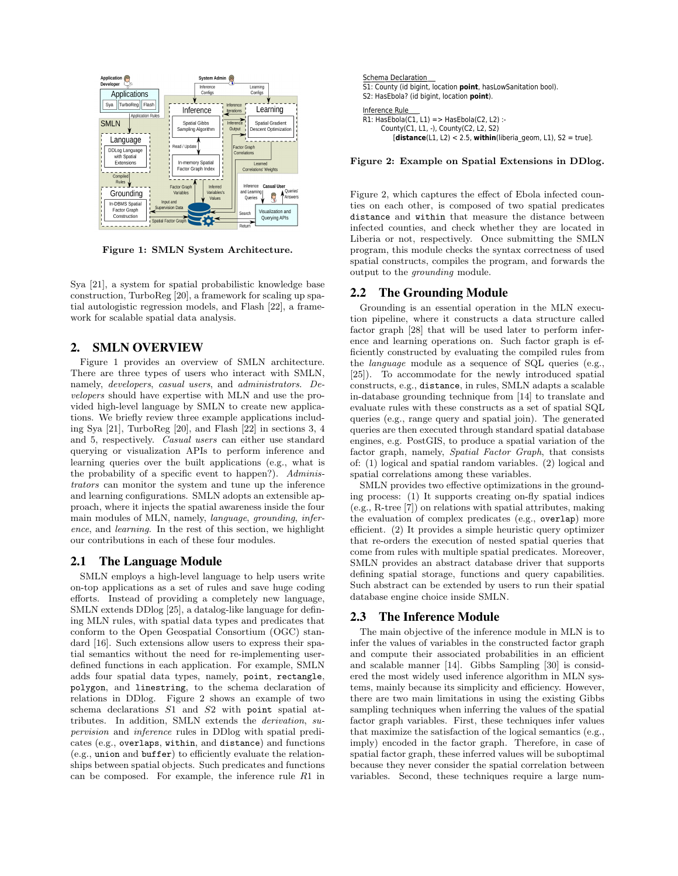

Figure 1: SMLN System Architecture.

Sya [21], a system for spatial probabilistic knowledge base construction, TurboReg [20], a framework for scaling up spatial autologistic regression models, and Flash [22], a framework for scalable spatial data analysis.

# 2. SMLN OVERVIEW

Figure 1 provides an overview of SMLN architecture. There are three types of users who interact with SMLN, namely, *developers*, *casual users*, and *administrators*. *Developers* should have expertise with MLN and use the provided high-level language by SMLN to create new applications. We briefly review three example applications including Sya [21], TurboReg [20], and Flash [22] in sections 3, 4 and 5, respectively. *Casual users* can either use standard querying or visualization APIs to perform inference and learning queries over the built applications (e.g., what is the probability of a specific event to happen?). *Administrators* can monitor the system and tune up the inference and learning configurations. SMLN adopts an extensible approach, where it injects the spatial awareness inside the four main modules of MLN, namely, *language*, *grounding*, *inference*, and *learning*. In the rest of this section, we highlight our contributions in each of these four modules.

## 2.1 The Language Module

SMLN employs a high-level language to help users write on-top applications as a set of rules and save huge coding efforts. Instead of providing a completely new language, SMLN extends DDlog [25], a datalog-like language for defining MLN rules, with spatial data types and predicates that conform to the Open Geospatial Consortium (OGC) standard [16]. Such extensions allow users to express their spatial semantics without the need for re-implementing userdefined functions in each application. For example, SMLN adds four spatial data types, namely, point, rectangle, polygon, and linestring, to the schema declaration of relations in DDlog. Figure 2 shows an example of two schema declarations *S*1 and *S*2 with point spatial attributes. In addition, SMLN extends the *derivation*, *supervision* and *inference* rules in DDlog with spatial predicates (e.g., overlaps, within, and distance) and functions  $(e.g.,$  union and buffer) to efficiently evaluate the relationships between spatial objects. Such predicates and functions can be composed. For example, the inference rule *R*1 in

| Schema Declaration<br>S1: County (id bigint, location point, has Low Sanitation bool).<br>S2: HasEbola? (id bigint, location point).                                     |
|--------------------------------------------------------------------------------------------------------------------------------------------------------------------------|
| Inference Rule<br>R1: HasEbola(C1, L1) => HasEbola(C2, L2) :-<br>County(C1, L1, -), County(C2, L2, S2)<br>[distance(L1, L2) < 2.5, within(liberia geom, L1), S2 = true]. |
|                                                                                                                                                                          |

Figure 2: Example on Spatial Extensions in DDlog.

Figure 2, which captures the effect of Ebola infected counties on each other, is composed of two spatial predicates distance and within that measure the distance between infected counties, and check whether they are located in Liberia or not, respectively. Once submitting the SMLN program, this module checks the syntax correctness of used spatial constructs, compiles the program, and forwards the output to the *grounding* module.

### 2.2 The Grounding Module

Grounding is an essential operation in the MLN execution pipeline, where it constructs a data structure called factor graph [28] that will be used later to perform inference and learning operations on. Such factor graph is efficiently constructed by evaluating the compiled rules from the *language* module as a sequence of SQL queries (e.g., [25]). To accommodate for the newly introduced spatial constructs, e.g., distance, in rules, SMLN adapts a scalable in-database grounding technique from [14] to translate and evaluate rules with these constructs as a set of spatial SQL queries (e.g., range query and spatial join). The generated queries are then executed through standard spatial database engines, e.g. PostGIS, to produce a spatial variation of the factor graph, namely, *Spatial Factor Graph*, that consists of: (1) logical and spatial random variables. (2) logical and spatial correlations among these variables.

SMLN provides two effective optimizations in the grounding process: (1) It supports creating on-fly spatial indices (e.g., R-tree [7]) on relations with spatial attributes, making the evaluation of complex predicates (e.g., overlap) more efficient. (2) It provides a simple heuristic query optimizer that re-orders the execution of nested spatial queries that come from rules with multiple spatial predicates. Moreover, SMLN provides an abstract database driver that supports defining spatial storage, functions and query capabilities. Such abstract can be extended by users to run their spatial database engine choice inside SMLN.

## 2.3 The Inference Module

The main objective of the inference module in MLN is to infer the values of variables in the constructed factor graph and compute their associated probabilities in an efficient and scalable manner [14]. Gibbs Sampling [30] is considered the most widely used inference algorithm in MLN systems, mainly because its simplicity and efficiency. However, there are two main limitations in using the existing Gibbs sampling techniques when inferring the values of the spatial factor graph variables. First, these techniques infer values that maximize the satisfaction of the logical semantics (e.g., imply) encoded in the factor graph. Therefore, in case of spatial factor graph, these inferred values will be suboptimal because they never consider the spatial correlation between variables. Second, these techniques require a large num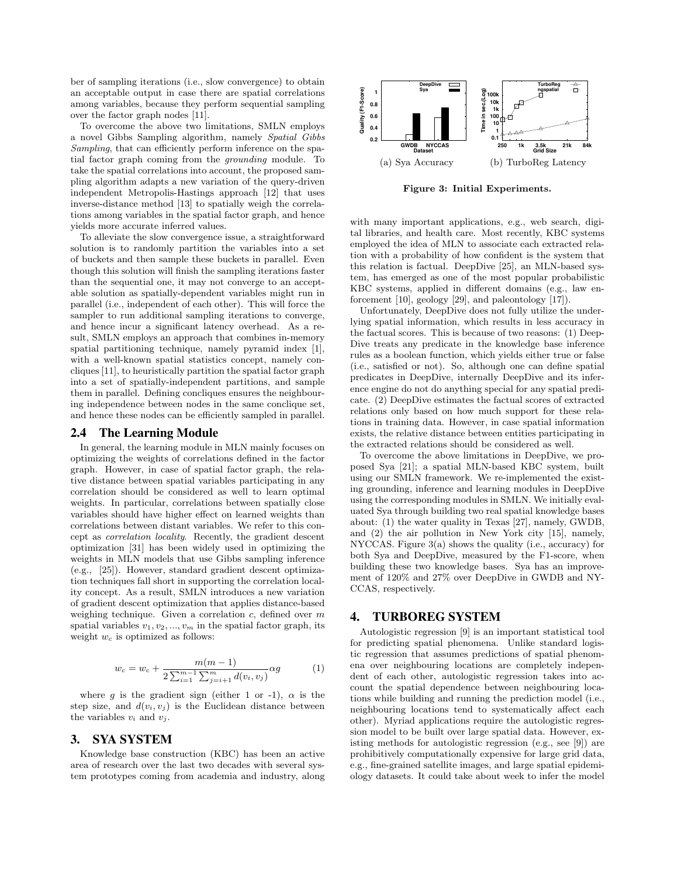ber of sampling iterations (i.e., slow convergence) to obtain an acceptable output in case there are spatial correlations among variables, because they perform sequential sampling over the factor graph nodes [11].

To overcome the above two limitations, SMLN employs a novel Gibbs Sampling algorithm, namely *Spatial Gibbs Sampling*, that can efficiently perform inference on the spatial factor graph coming from the *grounding* module. To take the spatial correlations into account, the proposed sampling algorithm adapts a new variation of the query-driven independent Metropolis-Hastings approach [12] that uses inverse-distance method [13] to spatially weigh the correlations among variables in the spatial factor graph, and hence yields more accurate inferred values.

To alleviate the slow convergence issue, a straightforward solution is to randomly partition the variables into a set of buckets and then sample these buckets in parallel. Even though this solution will finish the sampling iterations faster than the sequential one, it may not converge to an acceptable solution as spatially-dependent variables might run in parallel (i.e., independent of each other). This will force the sampler to run additional sampling iterations to converge, and hence incur a significant latency overhead. As a result, SMLN employs an approach that combines in-memory spatial partitioning technique, namely pyramid index [1], with a well-known spatial statistics concept, namely concliques [11], to heuristically partition the spatial factor graph into a set of spatially-independent partitions, and sample them in parallel. Defining concliques ensures the neighbouring independence between nodes in the same conclique set, and hence these nodes can be efficiently sampled in parallel.

#### 2.4 The Learning Module

In general, the learning module in MLN mainly focuses on optimizing the weights of correlations defined in the factor graph. However, in case of spatial factor graph, the relative distance between spatial variables participating in any correlation should be considered as well to learn optimal weights. In particular, correlations between spatially close variables should have higher effect on learned weights than correlations between distant variables. We refer to this concept as *correlation locality*. Recently, the gradient descent optimization [31] has been widely used in optimizing the weights in MLN models that use Gibbs sampling inference (e.g., [25]). However, standard gradient descent optimization techniques fall short in supporting the correlation locality concept. As a result, SMLN introduces a new variation of gradient descent optimization that applies distance-based weighing technique. Given a correlation *c*, defined over *m* spatial variables  $v_1, v_2, ..., v_m$  in the spatial factor graph, its weight *w<sup>c</sup>* is optimized as follows:

$$
w_c = w_c + \frac{m(m-1)}{2\sum_{i=1}^{m-1}\sum_{j=i+1}^{m}d(v_i, v_j)}\alpha g\tag{1}
$$

where *g* is the gradient sign (either 1 or -1),  $\alpha$  is the step size, and  $d(v_i, v_j)$  is the Euclidean distance between the variables  $v_i$  and  $v_j$ .

## 3. SYA SYSTEM

Knowledge base construction (KBC) has been an active area of research over the last two decades with several system prototypes coming from academia and industry, along



Figure 3: Initial Experiments.

with many important applications, e.g., web search, digital libraries, and health care. Most recently, KBC systems employed the idea of MLN to associate each extracted relation with a probability of how confident is the system that this relation is factual. DeepDive [25], an MLN-based system, has emerged as one of the most popular probabilistic KBC systems, applied in different domains (e.g., law enforcement [10], geology [29], and paleontology [17]).

Unfortunately, DeepDive does not fully utilize the underlying spatial information, which results in less accuracy in the factual scores. This is because of two reasons: (1) Deep-Dive treats any predicate in the knowledge base inference rules as a boolean function, which yields either true or false (i.e., satisfied or not). So, although one can define spatial predicates in DeepDive, internally DeepDive and its inference engine do not do anything special for any spatial predicate. (2) DeepDive estimates the factual scores of extracted relations only based on how much support for these relations in training data. However, in case spatial information exists, the relative distance between entities participating in the extracted relations should be considered as well.

To overcome the above limitations in DeepDive, we proposed Sya [21]; a spatial MLN-based KBC system, built using our SMLN framework. We re-implemented the existing grounding, inference and learning modules in DeepDive using the corresponding modules in SMLN. We initially evaluated Sya through building two real spatial knowledge bases about: (1) the water quality in Texas [27], namely, GWDB, and (2) the air pollution in New York city [15], namely, NYCCAS. Figure 3(a) shows the quality (i.e., accuracy) for both Sya and DeepDive, measured by the F1-score, when building these two knowledge bases. Sya has an improvement of 120% and 27% over DeepDive in GWDB and NY-CCAS, respectively.

## 4. TURBOREG SYSTEM

Autologistic regression [9] is an important statistical tool for predicting spatial phenomena. Unlike standard logistic regression that assumes predictions of spatial phenomena over neighbouring locations are completely independent of each other, autologistic regression takes into account the spatial dependence between neighbouring locations while building and running the prediction model (i.e., neighbouring locations tend to systematically affect each other). Myriad applications require the autologistic regression model to be built over large spatial data. However, existing methods for autologistic regression (e.g., see [9]) are prohibitively computationally expensive for large grid data, e.g., fine-grained satellite images, and large spatial epidemiology datasets. It could take about week to infer the model